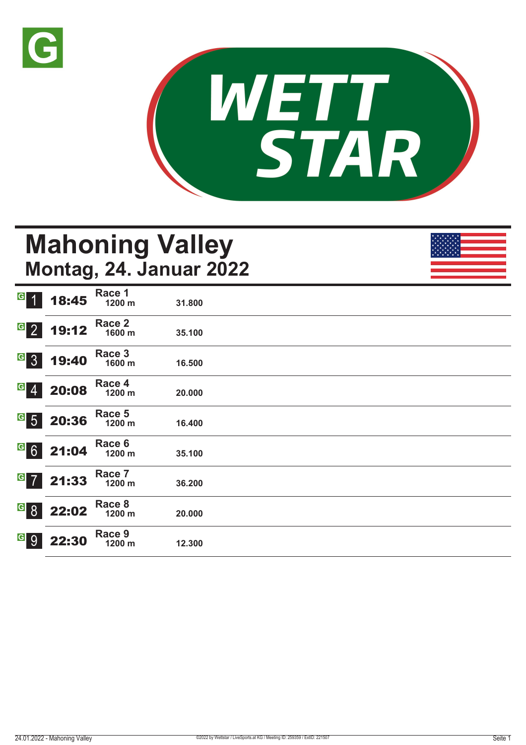



# **Mahoning Valley Montag, 24. Januar 2022**

| G 1              | 18:45      | Race 1<br>1200 m | 31.800 |  |  |
|------------------|------------|------------------|--------|--|--|
| $\overline{G}$ 2 | 19:12      | Race 2<br>1600 m | 35.100 |  |  |
| $G_{3}$          | 19:40      | Race 3<br>1600 m | 16.500 |  |  |
| $G \ 4$          | 20:08      | Race 4<br>1200 m | 20.000 |  |  |
|                  | $65$ 20:36 | Race 5<br>1200 m | 16.400 |  |  |
|                  | 621:04     | Race 6<br>1200 m | 35.100 |  |  |
| $G$ 7            | 21:33      | Race 7<br>1200 m | 36.200 |  |  |
| $\overline{G}$ 8 | 22:02      | Race 8<br>1200 m | 20.000 |  |  |
| <u>ေ</u> ၂       | 22:30      | Race 9<br>1200 m | 12.300 |  |  |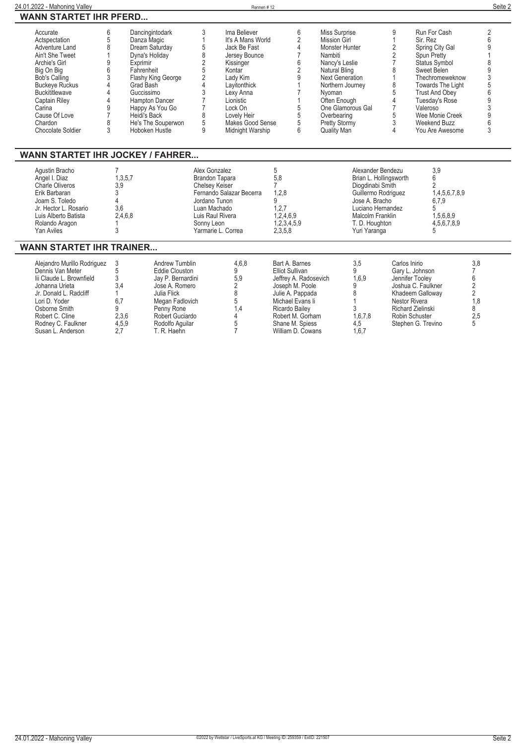| 24.01.2022 - Mahoning Valley                                                                                                                                                                                                                                                                                                 |                                                                                  |                                                                                                                                                                                            |                                                                                                                                            | Rennen#12                                                                                                                                                                                                         |                                                                                                                                          |                                                                                                                                            |                                                                                                                                                                                                                                                                       |                                                                                                                                                                                     |                                                                                                           |                                                                                                                                                                                                                                                        | Seite 2                                                                                |
|------------------------------------------------------------------------------------------------------------------------------------------------------------------------------------------------------------------------------------------------------------------------------------------------------------------------------|----------------------------------------------------------------------------------|--------------------------------------------------------------------------------------------------------------------------------------------------------------------------------------------|--------------------------------------------------------------------------------------------------------------------------------------------|-------------------------------------------------------------------------------------------------------------------------------------------------------------------------------------------------------------------|------------------------------------------------------------------------------------------------------------------------------------------|--------------------------------------------------------------------------------------------------------------------------------------------|-----------------------------------------------------------------------------------------------------------------------------------------------------------------------------------------------------------------------------------------------------------------------|-------------------------------------------------------------------------------------------------------------------------------------------------------------------------------------|-----------------------------------------------------------------------------------------------------------|--------------------------------------------------------------------------------------------------------------------------------------------------------------------------------------------------------------------------------------------------------|----------------------------------------------------------------------------------------|
| <b>WANN STARTET IHR PFERD</b>                                                                                                                                                                                                                                                                                                |                                                                                  |                                                                                                                                                                                            |                                                                                                                                            |                                                                                                                                                                                                                   |                                                                                                                                          |                                                                                                                                            |                                                                                                                                                                                                                                                                       |                                                                                                                                                                                     |                                                                                                           |                                                                                                                                                                                                                                                        |                                                                                        |
| 6<br>Accurate<br>5<br>Actspectation<br>8<br>Adventure Land<br>Ain't She Tweet<br>9<br>Archie's Girl<br>6<br>Big On Big<br>3<br><b>Bob's Calling</b><br><b>Buckeve Ruckus</b><br><b>Buckititlewave</b><br>4<br>4<br>Captain Riley<br>9<br>Carina<br>$\overline{7}$<br>Cause Of Love<br>8<br>Chardon<br>3<br>Chocolate Soldier | Danza Magic<br>Exprimir<br>Fahrenheit<br>Grad Bash<br>Guccissimo<br>Heidi's Back | Dancingintodark<br>Dream Saturday<br>Dyna's Holiday<br>Flashy King George<br>Hampton Dancer<br>Happy As You Go<br>He's The Souperwon<br>Hoboken Hustle                                     | 3<br>$\mathbf{1}$<br>5<br>8<br>$\overline{2}$<br>5<br>$\overline{2}$<br>$\overline{\Lambda}$<br>3<br>7<br>$\overline{7}$<br>8<br>5<br>9    | Ima Believer<br>It's A Mans World<br>Jack Be Fast<br>Jersey Bounce<br>Kissinger<br>Kontar<br>Lady Kim<br>Lavitonthick<br>Lexy Anna<br>Lionistic<br>Lock On<br>Lovely Heir<br>Makes Good Sense<br>Midnight Warship |                                                                                                                                          | 6<br>$\overline{2}$<br>4<br>$\overline{7}$<br>6<br>$\overline{2}$<br>9<br>$\overline{7}$<br>$\mathbf{1}$<br>5<br>5<br>5<br>$6\overline{6}$ | Miss Surprise<br><b>Mission Girl</b><br>Monster Hunter<br>Nambiti<br>Nancy's Leslie<br><b>Natural Bling</b><br><b>Next Generation</b><br>Northern Journey<br>Nyoman<br>Often Enough<br>One Glamorous Gal<br>Overbearing<br><b>Pretty Stormy</b><br><b>Quality Man</b> |                                                                                                                                                                                     | 9<br>$\overline{1}$<br>2<br>2<br>$\overline{7}$<br>8<br>1<br>8<br>5<br>4<br>$\overline{7}$<br>5<br>3<br>4 | Run For Cash<br>Sir. Rez<br>Spring City Gal<br>Spun Pretty<br>Status Symbol<br>Sweet Belen<br>Thechromeweknow<br><b>Towards The Light</b><br><b>Trust And Obey</b><br>Tuesday's Rose<br>Valeroso<br>Wee Monie Creek<br>Weekend Buzz<br>You Are Awesome | $\overline{2}$<br>6<br>9<br>8<br>9<br>3<br>5<br>6<br>9<br>3<br>9<br>3                  |
| <b>WANN STARTET IHR JOCKEY / FAHRER</b>                                                                                                                                                                                                                                                                                      |                                                                                  |                                                                                                                                                                                            |                                                                                                                                            |                                                                                                                                                                                                                   |                                                                                                                                          |                                                                                                                                            |                                                                                                                                                                                                                                                                       |                                                                                                                                                                                     |                                                                                                           |                                                                                                                                                                                                                                                        |                                                                                        |
| Aqustin Bracho<br>Angel I. Diaz<br>Charle Oliveros<br>Erik Barbaran<br>Joam S. Toledo<br>Jr. Hector L. Rosario<br>Luis Alberto Batista<br>Rolando Aragon<br>Yan Aviles                                                                                                                                                       | 7<br>1,3,5,7<br>3.9<br>3<br>4<br>3.6<br>2.4.6.8<br>1<br>3                        |                                                                                                                                                                                            | Alex Gonzalez<br>Brandon Tapara<br>Chelsey Keiser<br>Jordano Tunon<br>Luan Machado<br>Luis Raul Rivera<br>Sonny Leon<br>Yarmarie L. Correa | Fernando Salazar Becerra                                                                                                                                                                                          | 5<br>5.8<br>$\overline{7}$<br>1.2.8<br>9<br>1,2,7<br>1,2,4,6,9<br>1,2,3,4,5,9<br>2,3,5,8                                                 |                                                                                                                                            |                                                                                                                                                                                                                                                                       | Alexander Bendezu<br>Brian L. Hollingsworth<br>Diogdinabi Smith<br>Guillermo Rodriguez<br>Jose A. Bracho<br>Luciano Hernandez<br>Malcolm Franklin<br>T. D. Houghton<br>Yuri Yaranga |                                                                                                           | 3.9<br>6<br>$\overline{2}$<br>1.4.5.6.7.8.9<br>6,7,9<br>5<br>1.5.6.8.9<br>4,5,6,7,8,9<br>5                                                                                                                                                             |                                                                                        |
| <b>WANN STARTET IHR TRAINER</b>                                                                                                                                                                                                                                                                                              |                                                                                  |                                                                                                                                                                                            |                                                                                                                                            |                                                                                                                                                                                                                   |                                                                                                                                          |                                                                                                                                            |                                                                                                                                                                                                                                                                       |                                                                                                                                                                                     |                                                                                                           |                                                                                                                                                                                                                                                        |                                                                                        |
| Alejandro Murillo Rodriguez<br>Dennis Van Meter<br>lii Claude L. Brownfield<br>Johanna Urieta<br>Jr. Donald L. Radcliff<br>Lori D. Yoder<br>Osborne Smith<br>Robert C. Cline<br>Rodney C. Faulkner<br>Susan L. Anderson                                                                                                      | 3<br>$\overline{5}$<br>3<br>3.4<br>1<br>6.7<br>9<br>2,3,6<br>4,5,9<br>2,7        | <b>Andrew Tumblin</b><br><b>Eddie Clouston</b><br>Jay P. Bernardini<br>Jose A. Romero<br>Julia Flick<br>Megan Fadlovich<br>Penny Rone<br>Robert Guciardo<br>Rodolfo Aquilar<br>T. R. Haehn |                                                                                                                                            | 4.6.8<br>9<br>5,9<br>$\overline{2}$<br>8<br>5<br>1,4<br>4<br>5<br>$\overline{7}$                                                                                                                                  | Bart A. Barnes<br><b>Elliot Sullivan</b><br>Joseph M. Poole<br>Julie A. Pappada<br>Michael Evans li<br>Ricardo Bailey<br>Shane M. Spiess | Jeffrey A. Radosevich<br>Robert M. Gorham<br>William D. Cowans                                                                             |                                                                                                                                                                                                                                                                       | 3,5<br>9<br>1,6,9<br>9<br>8<br>1<br>3<br>1.6.7.8<br>4,5<br>1,6,7                                                                                                                    | Carlos Inirio<br>Jennifer Tooley<br>Nestor Rivera                                                         | Gary L. Johnson<br>Joshua C. Faulkner<br>Khadeem Galloway<br>Richard Zielinski<br>Robin Schuster<br>Stephen G. Trevino                                                                                                                                 | 3,8<br>$\overline{7}$<br>6<br>$\overline{2}$<br>$\overline{2}$<br>1.8<br>8<br>2,5<br>5 |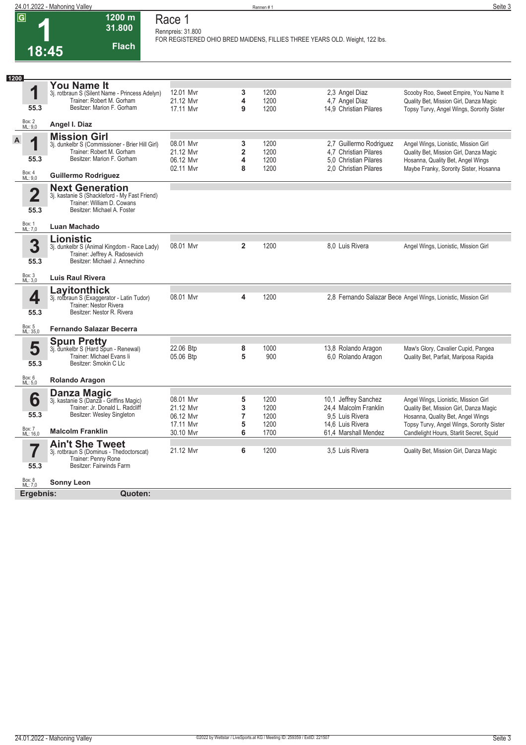|                |                         | 24.01.2022 - Mahoning Valley                                     |                   |                         | Rennen #1 |                                                                             | Seite 3                                                        |
|----------------|-------------------------|------------------------------------------------------------------|-------------------|-------------------------|-----------|-----------------------------------------------------------------------------|----------------------------------------------------------------|
| $\overline{G}$ |                         | 1200 m                                                           | Race 1            |                         |           |                                                                             |                                                                |
|                |                         | 31.800                                                           |                   |                         |           |                                                                             |                                                                |
|                |                         |                                                                  | Rennpreis: 31.800 |                         |           |                                                                             |                                                                |
|                |                         |                                                                  |                   |                         |           | FOR REGISTERED OHIO BRED MAIDENS, FILLIES THREE YEARS OLD. Weight, 122 lbs. |                                                                |
|                |                         | <b>Flach</b>                                                     |                   |                         |           |                                                                             |                                                                |
|                | 18:45                   |                                                                  |                   |                         |           |                                                                             |                                                                |
|                |                         |                                                                  |                   |                         |           |                                                                             |                                                                |
|                |                         |                                                                  |                   |                         |           |                                                                             |                                                                |
| 1200           |                         |                                                                  |                   |                         |           |                                                                             |                                                                |
|                |                         | <b>You Name It</b>                                               |                   |                         |           |                                                                             |                                                                |
|                | 1                       | 3j. rotbraun S (Silent Name - Princess Adelyn)                   | 12.01 Mvr         | 3                       | 1200      | 2,3 Angel Diaz                                                              | Scooby Roo, Sweet Empire, You Name It                          |
|                |                         | Trainer: Robert M. Gorham                                        | 21.12 Mvr         | 4                       | 1200      | 4,7 Angel Diaz                                                              | Quality Bet, Mission Girl, Danza Magic                         |
|                | 55.3                    | Besitzer: Marion F. Gorham                                       | 17.11 Myr         | 9                       | 1200      | 14.9 Christian Pilares                                                      | Topsy Turvy, Angel Wings, Sorority Sister                      |
| Box: 2         |                         |                                                                  |                   |                         |           |                                                                             |                                                                |
|                | ML: 9,0                 | Angel I. Diaz                                                    |                   |                         |           |                                                                             |                                                                |
|                |                         | <b>Mission Girl</b>                                              |                   |                         |           |                                                                             |                                                                |
| A              | 4                       | 3j. dunkelbr S (Commissioner - Brier Hill Girl)                  | 08.01 Mvr         | 3                       | 1200      | 2,7 Guillermo Rodriguez                                                     | Angel Wings, Lionistic, Mission Girl                           |
|                |                         | Trainer: Robert M. Gorham                                        | 21.12 Myr         | $\overline{\mathbf{2}}$ | 1200      | 4.7 Christian Pilares                                                       | Quality Bet, Mission Girl, Danza Magic                         |
|                | 55.3                    | Besitzer: Marion F. Gorham                                       | 06.12 Mvr         | 4                       | 1200      | 5.0 Christian Pilares                                                       | Hosanna, Quality Bet, Angel Wings                              |
|                |                         |                                                                  |                   |                         |           |                                                                             |                                                                |
|                | Box: 4<br>ML: 9,0       | <b>Guillermo Rodriguez</b>                                       | 02.11 Mvr         | 8                       | 1200      | 2.0 Christian Pilares                                                       | Maybe Franky, Sorority Sister, Hosanna                         |
|                |                         |                                                                  |                   |                         |           |                                                                             |                                                                |
|                |                         | <b>Next Generation</b>                                           |                   |                         |           |                                                                             |                                                                |
|                | $\overline{\mathbf{2}}$ | 3j. kastanie S (Shackleford - My Fast Friend)                    |                   |                         |           |                                                                             |                                                                |
|                |                         | Trainer: William D. Cowans                                       |                   |                         |           |                                                                             |                                                                |
|                | 55.3                    | Besitzer: Michael A. Foster                                      |                   |                         |           |                                                                             |                                                                |
|                |                         |                                                                  |                   |                         |           |                                                                             |                                                                |
|                | Box: 1<br>ML: 7,0       | Luan Machado                                                     |                   |                         |           |                                                                             |                                                                |
|                |                         |                                                                  |                   |                         |           |                                                                             |                                                                |
|                | 3                       | <b>Lionistic</b>                                                 |                   | $\overline{2}$          |           | 8.0 Luis Rivera                                                             |                                                                |
|                |                         | 3j. dunkelbr S (Animal Kingdom - Race Lady)                      | 08.01 Myr         |                         | 1200      |                                                                             | Angel Wings, Lionistic, Mission Girl                           |
|                |                         | Trainer: Jeffrey A. Radosevich<br>Besitzer: Michael J. Annechino |                   |                         |           |                                                                             |                                                                |
|                | 55.3                    |                                                                  |                   |                         |           |                                                                             |                                                                |
|                |                         |                                                                  |                   |                         |           |                                                                             |                                                                |
|                | Box: 3<br>ML: 3,0       | <b>Luis Raul Rivera</b>                                          |                   |                         |           |                                                                             |                                                                |
|                |                         | Layitonthick                                                     |                   |                         |           |                                                                             |                                                                |
|                | 4                       | 3j. rotbraun S (Exaggerator - Latin Tudor)                       | 08.01 Mvr         | 4                       | 1200      |                                                                             | 2,8 Fernando Salazar Bece Angel Wings, Lionistic, Mission Girl |
|                |                         | Trainer: Nestor Rivera                                           |                   |                         |           |                                                                             |                                                                |
|                | 55.3                    | Besitzer: Nestor R. Rivera                                       |                   |                         |           |                                                                             |                                                                |
|                |                         |                                                                  |                   |                         |           |                                                                             |                                                                |
|                | Box: 5<br>ML: 35,0      | <b>Fernando Salazar Becerra</b>                                  |                   |                         |           |                                                                             |                                                                |
|                |                         |                                                                  |                   |                         |           |                                                                             |                                                                |
|                |                         | <b>Spun Pretty</b>                                               |                   |                         |           |                                                                             |                                                                |
|                | 5                       | 3j. dunkelbr S (Hard Spun - Renewal)                             | 22.06 Btp         | 8                       | 1000      | 13,8 Rolando Aragon                                                         | Maw's Glory, Cavalier Cupid, Pangea                            |
|                |                         | Trainer: Michael Evans li<br>Besitzer: Smokin C Llc              | 05.06 Btp         | 5                       | 900       | 6,0 Rolando Aragon                                                          | Quality Bet, Parfait, Mariposa Rapida                          |
|                | 55.3                    |                                                                  |                   |                         |           |                                                                             |                                                                |
| Box: 6         |                         |                                                                  |                   |                         |           |                                                                             |                                                                |
|                | ML: 5,0                 | <b>Rolando Aragon</b>                                            |                   |                         |           |                                                                             |                                                                |
|                |                         | Danza Magic                                                      |                   |                         |           |                                                                             |                                                                |
|                | 6                       | 3j. kastanie S (Danza - Griffins Magic)                          | 08.01 Mvr         | 5                       | 1200      | 10,1 Jeffrey Sanchez                                                        | Angel Wings, Lionistic, Mission Girl                           |
|                |                         | Trainer: Jr. Donald L. Radcliff                                  | 21.12 Mvr         | 3                       | 1200      | 24,4 Malcolm Franklin                                                       | Quality Bet, Mission Girl, Danza Magic                         |
|                | 55.3                    | Besitzer: Wesley Singleton                                       | 06.12 Mvr         | $\overline{7}$          | 1200      | 9.5 Luis Rivera                                                             | Hosanna, Quality Bet, Angel Wings                              |
|                |                         |                                                                  | 17.11 Mvr         | 5                       | 1200      | 14,6 Luis Rivera                                                            | Topsy Turvy, Angel Wings, Sorority Sister                      |
|                | Box: 7<br>ML: 16,0      | <b>Malcolm Franklin</b>                                          | 30.10 Mvr         | 6                       | 1700      | 61.4 Marshall Mendez                                                        | Candlelight Hours, Starlit Secret, Squid                       |
|                |                         |                                                                  |                   |                         |           |                                                                             |                                                                |
|                |                         | <b>Ain't She Tweet</b>                                           |                   |                         |           |                                                                             |                                                                |
|                |                         | 3j. rotbraun S (Dominus - Thedoctorscat)                         | 21.12 Mvr         | 6                       | 1200      | 3,5 Luis Rivera                                                             | Quality Bet, Mission Girl, Danza Magic                         |
|                |                         | Trainer: Penny Rone                                              |                   |                         |           |                                                                             |                                                                |
|                | 55.3                    | Besitzer: Fairwinds Farm                                         |                   |                         |           |                                                                             |                                                                |
|                |                         |                                                                  |                   |                         |           |                                                                             |                                                                |
|                | Box: 8<br>ML: 7,0       | <b>Sonny Leon</b>                                                |                   |                         |           |                                                                             |                                                                |
|                | Ergebnis:               | Quoten:                                                          |                   |                         |           |                                                                             |                                                                |
|                |                         |                                                                  |                   |                         |           |                                                                             |                                                                |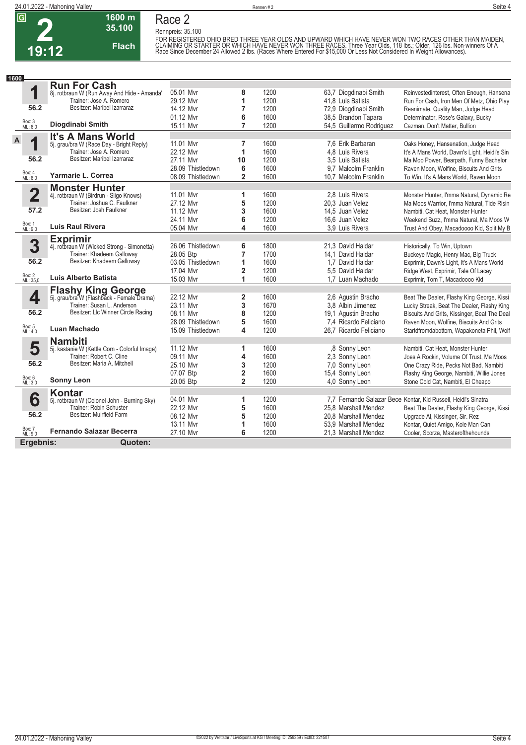

#### **1600 m 35.100 Race 2 Rennpreis: 35.100**

**Flach**

FOR REGISTERED OHIO BRED THREE YEAR OLDS AND UPWARD WHICH HAVE NEVER WON TWO RACES OTHER THAN MAIDEN,<br>CLAIMING OR STARTER OR WHICH HAVE NEVER WON THREE RACES. Three Year Olds, 118 Ibs.; Older, 126 Ibs. Non-winners Of A<br>Rac

| 1600                    |                                                                        |                   |                |      |                          |                                                                |
|-------------------------|------------------------------------------------------------------------|-------------------|----------------|------|--------------------------|----------------------------------------------------------------|
|                         | <b>Run For Cash</b>                                                    |                   |                |      |                          |                                                                |
| 1                       | 8j. rotbraun W (Run Away And Hide - Amanda'                            | 05.01 Mvr         | 8              | 1200 | 63,7 Diogdinabi Smith    | Reinvestedinterest, Often Enough, Hansena                      |
|                         | Trainer: Jose A. Romero                                                | 29.12 Mvr         | 1              | 1200 | 41,8 Luis Batista        | Run For Cash, Iron Men Of Metz, Ohio Play                      |
| 56.2                    | Besitzer: Maribel Izarraraz                                            | 14.12 Mvr         | 7              | 1200 | 72,9 Diogdinabi Smith    | Reanimate, Quality Man, Judge Head                             |
|                         |                                                                        | 01.12 Mvr         | 6              | 1600 | 38,5 Brandon Tapara      | Determinator, Rose's Galaxy, Bucky                             |
| Box: 3<br>ML: 6,0       | Diogdinabi Smith                                                       | 15.11 Mvr         | $\overline{7}$ | 1200 | 54,5 Guillermo Rodriguez | Cazman, Don't Matter, Bullion                                  |
| $\mathsf{A}$            | <b>It's A Mans World</b>                                               |                   |                |      |                          |                                                                |
| 1                       | 5j. grau/bra W (Race Day - Bright Reply)<br>Trainer: Jose A. Romero    | 11.01 Mvr         | 7              | 1600 | 7.6 Erik Barbaran        | Oaks Honey, Hansenation, Judge Head                            |
|                         |                                                                        | 22.12 Mvr         | 1              | 1600 | 4.8 Luis Rivera          | It's A Mans World, Dawn's Light, Heidi's Sin                   |
| 56.2                    | Besitzer: Maribel Izarraraz                                            | 27.11 Myr         | 10             | 1200 | 3.5 Luis Batista         | Ma Moo Power, Bearpath, Funny Bachelor                         |
|                         |                                                                        | 28.09 Thistledown | 6              | 1600 | 9.7 Malcolm Franklin     | Raven Moon, Wolfine, Biscuits And Grits                        |
| Box: 4<br>ML: 6,0       | Yarmarie L. Correa                                                     | 08.09 Thistledown | $\overline{2}$ | 1600 | 10,7 Malcolm Franklin    | To Win, It's A Mans World, Raven Moon                          |
|                         | <b>Monster Hunter</b>                                                  |                   |                |      |                          |                                                                |
| $\overline{\mathbf{2}}$ | 4j. rotbraun W (Birdrun - Sligo Knows)                                 | 11.01 Mvr         | 1              | 1600 | 2.8 Luis Rivera          | Monster Hunter, I'mma Natural, Dynamic Re                      |
|                         | Trainer: Joshua C. Faulkner                                            | 27.12 Mvr         | 5              | 1200 | 20,3 Juan Velez          | Ma Moos Warrior, I'mma Natural, Tide Risin                     |
| 57.2                    | Besitzer: Josh Faulkner                                                | 11.12 Myr         | 3              | 1600 | 14.5 Juan Velez          | Nambiti, Cat Heat, Monster Hunter                              |
|                         |                                                                        | 24.11 Myr         | 6              | 1200 | 16.6 Juan Velez          | Weekend Buzz, I'mma Natural, Ma Moos W                         |
| Box: 1<br>ML: 9,0       | Luis Raul Rivera                                                       | 05.04 Mvr         | 4              | 1600 | 3.9 Luis Rivera          | Trust And Obey, Macadoooo Kid, Split My B                      |
|                         | <b>Exprimir</b>                                                        |                   |                |      |                          |                                                                |
| 3                       | 4j. rotbraun W (Wicked Strong - Simonetta)                             | 26.06 Thistledown | 6              | 1800 | 21,3 David Haldar        | Historically, To Win, Uptown                                   |
|                         | Trainer: Khadeem Galloway                                              | 28.05 Btp         | $\overline{7}$ | 1700 | 14.1 David Haldar        | Buckeye Magic, Henry Mac, Big Truck                            |
| 56.2                    | Besitzer: Khadeem Galloway                                             | 03.05 Thistledown | 1              | 1600 | 1.7 David Haldar         | Exprimir, Dawn's Light, It's A Mans World                      |
|                         |                                                                        | 17.04 Mvr         | $\overline{2}$ | 1200 | 5.5 David Haldar         | Ridge West, Exprimir, Tale Of Lacey                            |
| Box: 2<br>ML: 35,0      | Luis Alberto Batista                                                   | 15.03 Mvr         | 1              | 1600 | 1.7 Luan Machado         | Exprimir, Tom T. Macadoooo Kid                                 |
|                         |                                                                        |                   |                |      |                          |                                                                |
| 4                       | <b>Flashy King George</b><br>5j. grau/bra W (Flashback - Female Drama) | 22.12 Mvr         | 2              | 1600 | 2,6 Agustin Bracho       | Beat The Dealer, Flashy King George, Kissi                     |
|                         | Trainer: Susan L. Anderson                                             | 23.11 Mvr         | 3              | 1670 | 3.8 Albin Jimenez        | Lucky Streak, Beat The Dealer, Flashy King                     |
| 56.2                    | Besitzer: Llc Winner Circle Racing                                     | 08.11 Mvr         | 8              | 1200 | 19,1 Agustin Bracho      | Biscuits And Grits, Kissinger, Beat The Deal                   |
|                         |                                                                        | 28.09 Thistledown | 5              | 1600 | 7.4 Ricardo Feliciano    | Raven Moon, Wolfine, Biscuits And Grits                        |
| Box: 5<br>ML: 4,0       | Luan Machado                                                           | 15.09 Thistledown | 4              | 1200 | 26,7 Ricardo Feliciano   | Startdfromdabottom, Wapakoneta Phil, Wolf                      |
|                         | <b>Nambiti</b>                                                         |                   |                |      |                          |                                                                |
| 5                       | 5j. kastanie W (Kettle Corn - Colorful Image)                          | 11.12 Mvr         | 1              | 1600 | .8 Sonny Leon            | Nambiti, Cat Heat, Monster Hunter                              |
|                         | Trainer: Robert C. Cline                                               | 09.11 Mvr         | 4              | 1600 | 2,3 Sonny Leon           | Joes A Rockin, Volume Of Trust, Ma Moos                        |
| 56.2                    | Besitzer: Maria A. Mitchell                                            | 25.10 Mvr         | 3              | 1200 | 7.0 Sonny Leon           | One Crazy Ride, Pecks Not Bad, Nambiti                         |
|                         |                                                                        | 07.07 Btp         | 2              | 1600 | 15,4 Sonny Leon          | Flashy King George, Nambiti, Willie Jones                      |
| Box: 6<br>ML: 3,0       | <b>Sonny Leon</b>                                                      | 20.05 Btp         | $\overline{2}$ | 1200 | 4.0 Sonny Leon           | Stone Cold Cat. Nambiti. El Cheapo                             |
|                         | Kontar                                                                 |                   |                |      |                          |                                                                |
| 6                       | 5j. rotbraun W (Colonel John - Burning Sky)                            | 04.01 Mvr         | 1              | 1200 |                          | 7,7 Fernando Salazar Bece Kontar, Kid Russell, Heidi's Sinatra |
|                         | Trainer: Robin Schuster                                                | 22.12 Mvr         | 5              | 1600 | 25.8 Marshall Mendez     | Beat The Dealer, Flashy King George, Kissi                     |
| 56.2                    | Besitzer: Muirfield Farm                                               | 08.12 Mvr         | 5              | 1200 | 20.8 Marshall Mendez     | Upgrade Al, Kissinger, Sir. Rez                                |
|                         |                                                                        | 13.11 Mvr         | 1              | 1600 | 53.9 Marshall Mendez     | Kontar, Quiet Amigo, Kole Man Can                              |
| Box: 7<br>ML: 9,0       | <b>Fernando Salazar Becerra</b>                                        | 27.10 Mvr         | 6              | 1200 | 21,3 Marshall Mendez     | Cooler, Scorza, Masterofthehounds                              |
| Ergebnis:               | Quoten:                                                                |                   |                |      |                          |                                                                |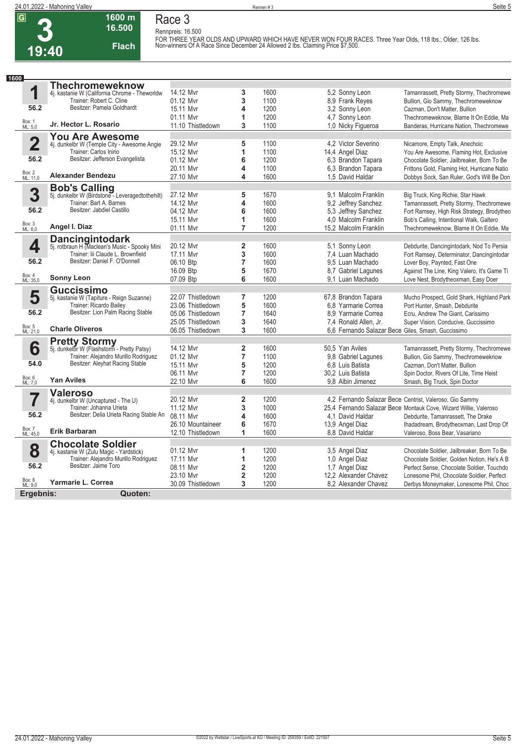## **1600 m Race 3 Rennpreis: 16.500**

**Flach**

**16.500** 

FOR THREE YEAR OLDS AND UPWARD WHICH HAVE NEVER WON FOUR RACES. Three Year Olds, 118 lbs.; Older, 126 lbs.<br>Non-winners Of A Race Since December 24 Allowed 2 lbs. Claiming Price \$7,500.

| 1600                     |                                                                         |                   |                         |      |                                                    |                                                                  |
|--------------------------|-------------------------------------------------------------------------|-------------------|-------------------------|------|----------------------------------------------------|------------------------------------------------------------------|
|                          | <b>Thechromeweknow</b>                                                  |                   |                         |      |                                                    |                                                                  |
| 1                        | 4j. kastanie W (California Chrome - Theworldw                           | 14.12 Mvr         | 3                       | 1600 | 5.2 Sonny Leon                                     | Tamanrassett, Pretty Stormy, Thechromewe                         |
|                          | Trainer: Robert C. Cline                                                | 01.12 Mvr         | 3                       | 1100 | 8.9 Frank Reves                                    | Bullion, Gio Sammy, Thechromeweknow                              |
| 56.2                     | Besitzer: Pamela Goldhardt                                              | 15.11 Mvr         | 4                       | 1200 | 3.2 Sonny Leon                                     | Cazman, Don't Matter, Bullion                                    |
|                          |                                                                         | 01.11 Myr         | 1                       | 1200 | 4,7 Sonny Leon                                     | Thechromeweknow, Blame It On Eddie, Ma                           |
| Box: 1<br>ML: 5,0        | Jr. Hector L. Rosario                                                   | 11.10 Thistledown | 3                       | 1100 | 1,0 Nicky Figueroa                                 | Banderas, Hurricane Nation, Thechromewe                          |
|                          | <b>You Are Awesome</b>                                                  |                   |                         |      |                                                    |                                                                  |
| $\overline{\mathbf{2}}$  | 4j. dunkelbr W (Temple City - Awesome Angie                             | 29.12 Mvr         | 5                       | 1100 | 4.2 Victor Severino                                | Nicamore, Empty Talk, Anechoic                                   |
|                          | Trainer: Carlos Inirio                                                  | 15.12 Mvr         | 1                       | 1100 | 14,4 Angel Diaz                                    | You Are Awesome, Flaming Hot, Exclusive                          |
| 56.2                     | Besitzer: Jefferson Evangelista                                         | 01.12 Mvr         | 6                       | 1200 | 6.3 Brandon Tapara                                 | Chocolate Soldier, Jailbreaker, Born To Be                       |
|                          |                                                                         | 20.11 Mvr         | 4                       | 1100 | 6,3 Brandon Tapara                                 | Frittons Gold, Flaming Hot, Hurricane Natio                      |
| Box: 2<br>ML: 11,0       | <b>Alexander Bendezu</b>                                                | 27.10 Mvr         | 4                       | 1600 | 1.5 David Haldar                                   | Dobbys Sock, San Ruler, God's Will Be Don                        |
|                          | <b>Bob's Calling</b>                                                    |                   |                         |      |                                                    |                                                                  |
| 3                        | 5j. dunkelbr W (Birdstone - Leveragedtothehilt)                         | 27.12 Mvr         | 5                       | 1670 | 9.1 Malcolm Franklin                               | Big Truck, King Richie, Star Hawk                                |
|                          | Trainer: Bart A. Barnes                                                 | 14.12 Mvr         | 4                       | 1600 | 9,2 Jeffrey Sanchez                                | Tamanrassett, Pretty Stormy, Thechromewe                         |
| 56.2                     | Besitzer: Jabdiel Castillo                                              | 04.12 Mvr         | 6                       | 1600 | 5.3 Jeffrey Sanchez                                | Fort Ramsey, High Risk Strategy, Brodytheo                       |
|                          |                                                                         | 15.11 Myr         | 1                       | 1600 | 4.0 Malcolm Franklin                               | Bob's Calling, Intentional Walk, Galtero                         |
| Box: 3<br>ML: 6,0        | Angel I. Diaz                                                           | 01.11 Mvr         | $\overline{7}$          | 1200 | 15,2 Malcolm Franklin                              | Thechromeweknow, Blame It On Eddie, Ma                           |
|                          |                                                                         |                   |                         |      |                                                    |                                                                  |
| 4                        | <b>Dancingintodark</b><br>5j. rotbraun H (Maclean's Music - Spooky Mini | 20.12 Mvr         | $\overline{2}$          | 1600 | 5.1 Sonny Leon                                     | Debdurite, Dancingintodark, Nod To Persia                        |
|                          | Trainer: lii Claude L. Brownfield                                       | 17.11 Mvr         | 3                       | 1600 | 7,4 Luan Machado                                   | Fort Ramsey, Determinator, Dancingintodar                        |
| 56.2                     | Besitzer: Daniel F. O'Donnell                                           | 06.10 Btp         | $\overline{7}$          | 1600 | 9.5 Luan Machado                                   | Lover Boy, Paynted, Fast One                                     |
|                          |                                                                         | 16.09 Btp         | 5                       | 1670 | 8,7 Gabriel Lagunes                                | Against The Line, King Valero, It's Game Ti                      |
| Box: 4<br>ML: 35,0       | <b>Sonny Leon</b>                                                       | 07.09 Btp         | 6                       | 1600 | 9.1 Luan Machado                                   | Love Nest, Brodytheoxman, Easy Doer                              |
|                          |                                                                         |                   |                         |      |                                                    |                                                                  |
| 5                        | <b>Guccissimo</b>                                                       | 22.07 Thistledown | $\overline{7}$          | 1200 | 67,8 Brandon Tapara                                | Mucho Prospect, Gold Shark, Highland Park                        |
|                          | 5j. kastanie W (Tapiture - Reign Suzanne)<br>Trainer: Ricardo Bailey    | 23.06 Thistledown | 5                       | 1600 | 6.8 Yarmarie Correa                                | Port Hunter, Smash, Debdurite                                    |
| 56.2                     | Besitzer: Lion Palm Racing Stable                                       | 05.06 Thistledown | $\overline{7}$          | 1640 | 8.9 Yarmarie Correa                                | Ecru, Andrew The Giant, Carissimo                                |
|                          |                                                                         | 25.05 Thistledown | 3                       | 1640 | 7,4 Ronald Allen, Jr.                              | Super Vision, Conducive, Guccissimo                              |
| Box: 5<br>ML: 21,0       | <b>Charle Oliveros</b>                                                  | 06.05 Thistledown | 3                       | 1600 | 6,6 Fernando Salazar Bece Giles, Smash, Guccissimo |                                                                  |
|                          |                                                                         |                   |                         |      |                                                    |                                                                  |
|                          | <b>Pretty Stormy</b><br>5j. dunkelbr W (Flashstorm - Pretty Patsy)      | 14.12 Mvr         |                         |      |                                                    |                                                                  |
| 6                        |                                                                         |                   | $\overline{\mathbf{2}}$ | 1600 | 50,5 Yan Aviles                                    | Tamanrassett, Pretty Stormy, Thechromewe                         |
| 54.0                     | Trainer: Alejandro Murillo Rodriguez<br>Besitzer: Aleyhat Racing Stable | 01.12 Mvr         | $\overline{7}$          | 1100 | 9.8 Gabriel Lagunes                                | Bullion, Gio Sammy, Thechromeweknow                              |
|                          |                                                                         | 15.11 Mvr         | 5                       | 1200 | 6.8 Luis Batista                                   | Cazman, Don't Matter, Bullion                                    |
| Box: 6<br>ML: 7,0        | <b>Yan Aviles</b>                                                       | 06.11 Mvr         | $\overline{7}$<br>6     | 1200 | 30,2 Luis Batista                                  | Spin Doctor, Rivers Of Lite, Time Heist                          |
|                          |                                                                         | 22.10 Mvr         |                         | 1600 | 9.8 Albin Jimenez                                  | Smash, Big Truck, Spin Doctor                                    |
| $\overline{\phantom{a}}$ | <b>Valeroso</b>                                                         |                   |                         |      |                                                    |                                                                  |
|                          | 4j. dunkelbr W (Uncaptured - The U)                                     | 20.12 Mvr         | $\overline{\mathbf{2}}$ | 1200 |                                                    | 4,2 Fernando Salazar Bece Centrist, Valeroso, Gio Sammy          |
|                          | Trainer: Johanna Urieta                                                 | 11.12 Mvr         | 3                       | 1000 |                                                    | 25.4 Fernando Salazar Bece Montauk Cove, Wizard Willie, Valeroso |
| 56.2                     | Besitzer: Delia Urieta Racing Stable An                                 | 08.11 Mvr         | 4                       | 1600 | 4.1 David Haldar                                   | Debdurite, Tamanrassett, The Drake                               |
| Box: 7<br>ML: 45,0       | <b>Erik Barbaran</b>                                                    | 26.10 Mountaineer | 6                       | 1670 | 13,9 Angel Diaz                                    | Ihadadream, Brodytheoxman, Last Drop Of                          |
|                          |                                                                         | 12.10 Thistledown | 1                       | 1600 | 8.8 David Haldar                                   | Valeroso, Boss Bear, Vasariano                                   |
|                          | <b>Chocolate Soldier</b>                                                |                   |                         |      |                                                    |                                                                  |
| 8                        | 4j. kastanie W (Zulu Magic - Yardstick)                                 | 01.12 Mvr         | 1                       | 1200 | 3,5 Angel Diaz                                     | Chocolate Soldier, Jailbreaker, Born To Be                       |
|                          | Trainer: Alejandro Murillo Rodriguez                                    | 17.11 Mvr         | 1                       | 1200 | 1,0 Angel Diaz                                     | Chocolate Soldier, Golden Notion, He's A B                       |
| 56.2                     | Besitzer: Jaime Toro                                                    | 08.11 Myr         | $\overline{\mathbf{2}}$ | 1200 | 1,7 Angel Diaz                                     | Perfect Sense, Chocolate Soldier, Touchdo                        |
| Box: 8                   |                                                                         | 23.10 Mvr         | $\mathbf 2$             | 1200 | 12.2 Alexander Chavez                              | Lonesome Phil, Chocolate Soldier, Perfect                        |
| ML: 9.0                  | Yarmarie L. Correa                                                      | 30.09 Thistledown | 3                       | 1200 | 8.2 Alexander Chavez                               | Derbys Moneymaker, Lonesome Phil, Choc                           |
| Fraghnis <sup>.</sup>    | Ounten <sup>.</sup>                                                     |                   |                         |      |                                                    |                                                                  |

**Ergebnis: Quoten:**٠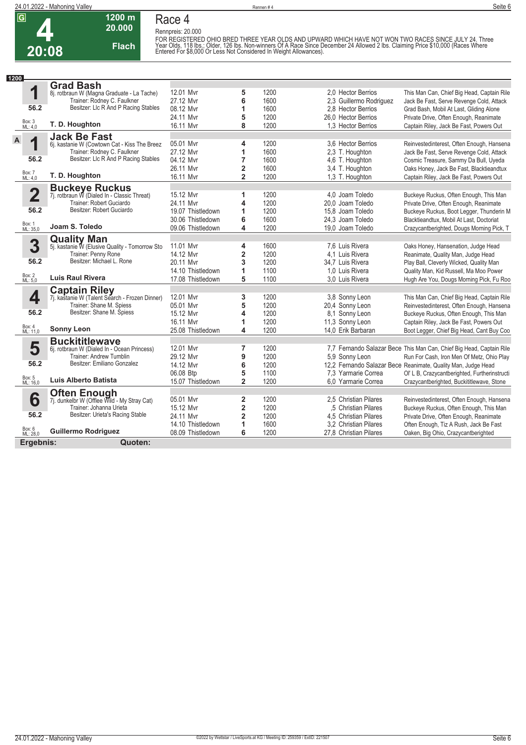

**Race 4 Rennpreis: 20.000**

**20.000 Flach**

**1200 m**

FOR REGISTERED OHIO BRED THREE YEAR OLDS AND UPWARD WHICH HAVE NOT WON TWO RACES SINCE JULY 24. Three<br>Year Olds, 118 lbs.; Older, 126 lbs. Non-winners Of A Race Since December 24 Allowed 2 lbs. Claiming Price \$10,000 (Race

| 1200         |                         |                                                                        |                   |                         |      |                         |                                                                      |
|--------------|-------------------------|------------------------------------------------------------------------|-------------------|-------------------------|------|-------------------------|----------------------------------------------------------------------|
|              |                         | <b>Grad Bash</b>                                                       |                   |                         |      |                         |                                                                      |
|              | 1                       | 8j. rotbraun W (Magna Graduate - La Tache)                             | 12.01 Mvr         | 5                       | 1200 | 2.0 Hector Berrios      | This Man Can, Chief Big Head, Captain Rile                           |
|              |                         | Trainer: Rodney C. Faulkner                                            | 27.12 Mvr         | 6                       | 1600 | 2,3 Guillermo Rodriguez | Jack Be Fast, Serve Revenge Cold, Attack                             |
|              | 56.2                    | Besitzer: LIc R And P Racing Stables                                   | 08.12 Mvr         | 1                       | 1600 | 2.8 Hector Berrios      | Grad Bash, Mobil At Last, Gliding Alone                              |
|              |                         |                                                                        | 24.11 Mvr         | 5                       | 1200 | 26.0 Hector Berrios     | Private Drive, Often Enough, Reanimate                               |
|              | Box: 3<br>ML: 4,0       | T. D. Houghton                                                         | 16.11 Myr         | 8                       | 1200 | 1.3 Hector Berrios      | Captain Riley, Jack Be Fast, Powers Out                              |
|              |                         |                                                                        |                   |                         |      |                         |                                                                      |
| $\mathsf{A}$ | ◢                       | <b>Jack Be Fast</b><br>6j. kastanie W (Cowtown Cat - Kiss The Breez    | 05.01 Mvr         | 4                       | 1200 | 3.6 Hector Berrios      | Reinvestedinterest, Often Enough, Hansena                            |
|              |                         | Trainer: Rodney C. Faulkner                                            | 27.12 Mvr         | 1                       | 1600 | 2,3 T. Houghton         | Jack Be Fast, Serve Revenge Cold, Attack                             |
|              | 56.2                    | Besitzer: LIc R And P Racing Stables                                   | 04.12 Mvr         | $\overline{7}$          | 1600 | 4,6 T. Houghton         | Cosmic Treasure, Sammy Da Bull, Uyeda                                |
|              |                         |                                                                        | 26.11 Mvr         | 2                       | 1600 | 3.4 T. Houghton         | Oaks Honey, Jack Be Fast, Blacktieandtux                             |
|              | Box: 7<br>ML: 4,0       | T. D. Houghton                                                         | 16.11 Mvr         | $\overline{2}$          | 1200 | 1,3 T. Houghton         |                                                                      |
|              |                         |                                                                        |                   |                         |      |                         | Captain Riley, Jack Be Fast, Powers Out                              |
|              |                         | <b>Buckeye Ruckus</b>                                                  |                   |                         |      |                         |                                                                      |
|              | $\overline{\mathbf{2}}$ | 7j. rotbraun W (Dialed In - Classic Threat)                            | 15.12 Mvr         | 1                       | 1200 | 4.0 Joam Toledo         | Buckeye Ruckus, Often Enough, This Man                               |
|              |                         | Trainer: Robert Guciardo                                               | 24.11 Mvr         | 4                       | 1200 | 20.0 Joam Toledo        | Private Drive, Often Enough, Reanimate                               |
|              | 56.2                    | Besitzer: Robert Guciardo                                              | 19.07 Thistledown | 1                       | 1200 | 15.8 Joam Toledo        | Buckeye Ruckus, Boot Legger, Thunderin M                             |
|              |                         |                                                                        | 30.06 Thistledown | 6                       | 1600 | 24.3 Joam Toledo        | Blacktieandtux, Mobil At Last, Doctoriat                             |
|              | Box: 1<br>ML: 35,0      | Joam S. Toledo                                                         | 09.06 Thistledown | 4                       | 1200 | 19,0 Joam Toledo        | Crazycantberighted, Dougs Morning Pick, T                            |
|              |                         | <b>Quality Man</b>                                                     |                   |                         |      |                         |                                                                      |
|              | 3                       | 5j. kastanie W (Elusive Quality - Tomorrow Sto                         | 11.01 Mvr         | 4                       | 1600 | 7.6 Luis Rivera         | Oaks Honey, Hansenation, Judge Head                                  |
|              |                         | Trainer: Penny Rone                                                    | 14.12 Mvr         | $\overline{\mathbf{2}}$ | 1200 | 4.1 Luis Rivera         | Reanimate, Quality Man, Judge Head                                   |
|              | 56.2                    | Besitzer: Michael L. Rone                                              | 20.11 Mvr         | 3                       | 1200 | 34.7 Luis Rivera        | Play Ball, Cleverly Wicked, Quality Man                              |
|              |                         |                                                                        | 14.10 Thistledown | 1                       | 1100 | 1.0 Luis Rivera         | Quality Man, Kid Russell, Ma Moo Power                               |
|              | Box: 2<br>ML: 5,0       | <b>Luis Raul Rivera</b>                                                | 17.08 Thistledown | 5                       | 1100 | 3.0 Luis Rivera         | Hugh Are You, Dougs Morning Pick, Fu Roo                             |
|              |                         |                                                                        |                   |                         |      |                         |                                                                      |
|              | 4                       | <b>Captain Riley</b><br>7j. kastanie W (Talent Search - Frozen Dinner) | 12.01 Mvr         | 3                       | 1200 | 3.8 Sonny Leon          | This Man Can, Chief Big Head, Captain Rile                           |
|              |                         | Trainer: Shane M. Spiess                                               | 05.01 Mvr         | 5                       | 1200 | 20,4 Sonny Leon         | Reinvestedinterest, Often Enough, Hansena                            |
|              | 56.2                    | Besitzer: Shane M. Spiess                                              | 15.12 Mvr         | 4                       | 1200 | 8.1 Sonny Leon          | Buckeye Ruckus, Often Enough, This Man                               |
|              |                         |                                                                        | 16.11 Mvr         | 1                       | 1200 | 11,3 Sonny Leon         | Captain Riley, Jack Be Fast, Powers Out                              |
|              | Box: 4<br>ML: 11,0      | <b>Sonny Leon</b>                                                      | 25.08 Thistledown | 4                       | 1200 | 14.0 Erik Barbaran      | Boot Legger, Chief Big Head, Cant Buy Coo                            |
|              |                         |                                                                        |                   |                         |      |                         |                                                                      |
|              |                         | <b>Buckititlewave</b>                                                  | 12.01 Mvr         | $\overline{7}$          | 1200 |                         |                                                                      |
|              | 5                       | 6j. rotbraun W (Dialed In - Ocean Princess)<br>Trainer: Andrew Tumblin |                   |                         |      |                         | 7,7 Fernando Salazar Bece This Man Can, Chief Big Head, Captain Rile |
|              | 56.2                    | Besitzer: Emiliano Gonzalez                                            | 29.12 Mvr         | 9                       | 1200 | 5.9 Sonny Leon          | Run For Cash, Iron Men Of Metz, Ohio Play                            |
|              |                         |                                                                        | 14.12 Mvr         | 6                       | 1200 |                         | 12,2 Fernando Salazar Bece Reanimate, Quality Man, Judge Head        |
|              |                         | Luis Alberto Batista                                                   | 06.08 Btp         | 5                       | 1100 | 7.3 Yarmarie Correa     | Ol' L B, Crazycantberighted, Furtherinstructi                        |
|              | Box: 5<br>ML: 16,0      |                                                                        | 15.07 Thistledown | $\overline{2}$          | 1200 | 6.0 Yarmarie Correa     | Crazycantberighted, Buckititlewave, Stone                            |
|              |                         | <b>Often Enough</b>                                                    |                   |                         |      |                         |                                                                      |
|              | 6                       | 7j. dunkelbr W (Offlee Wild - My Stray Cat)                            | 05.01 Mvr         | $\overline{2}$          | 1200 | 2.5 Christian Pilares   | Reinvestedinterest, Often Enough, Hansena                            |
|              |                         | Trainer: Johanna Urieta                                                | 15.12 Mvr         | 2                       | 1200 | .5 Christian Pilares    | Buckeye Ruckus, Often Enough, This Man                               |
|              | 56.2                    | Besitzer: Urieta's Racing Stable                                       | 24.11 Mvr         | 2                       | 1200 | 4,5 Christian Pilares   | Private Drive, Often Enough, Reanimate                               |
|              |                         |                                                                        | 14.10 Thistledown | 1                       | 1600 | 3.2 Christian Pilares   | Often Enough, Tiz A Rush, Jack Be Fast                               |
|              | Box: 6<br>ML: 28,0      | <b>Guillermo Rodriguez</b>                                             | 08.09 Thistledown | 6                       | 1200 | 27,8 Christian Pilares  | Oaken, Big Ohio, Crazycantberighted                                  |
|              | Ergebnis:               | Quoten:                                                                |                   |                         |      |                         |                                                                      |
|              |                         |                                                                        |                   |                         |      |                         |                                                                      |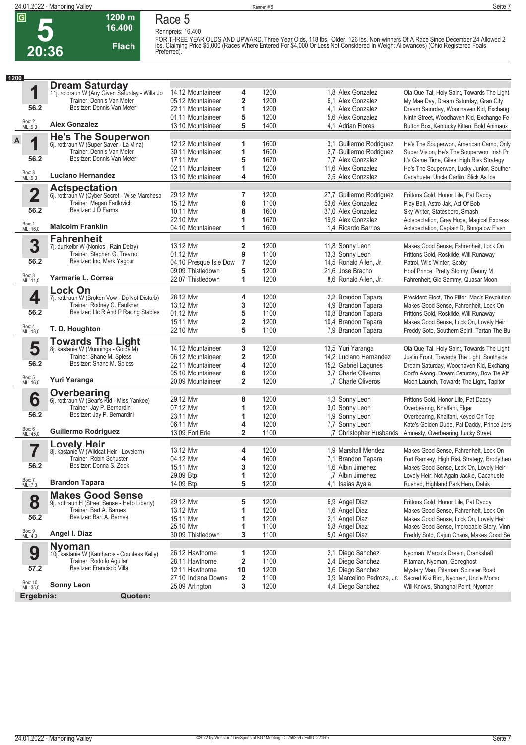#### **1200 m 16.400 Flach Race 5**

**Rennpreis: 16.400** FOR THREE YEAR OLDS AND UPWARD. Three Year Olds, 118 lbs.; Older, 126 lbs. Non-winners Of A Race Since December 24 Allowed 2<br>Ibs. Claiming Price \$5,000 (Races Where Entered For \$4,000 Or Less Not Considered In Weight Allow

| 1200 |                     |                                                                            |                        |                         |      |                            |                                               |
|------|---------------------|----------------------------------------------------------------------------|------------------------|-------------------------|------|----------------------------|-----------------------------------------------|
|      |                     | <b>Dream Saturday</b>                                                      |                        |                         |      |                            |                                               |
|      | 1                   | 11. rotbraun W (Any Given Saturday - Willa Jo<br>Trainer: Dennis Van Meter | 14.12 Mountaineer      | 4                       | 1200 | 1.8 Alex Gonzalez          | Ola Que Tal, Holy Saint, Towards The Light    |
|      |                     |                                                                            | 05.12 Mountaineer      | $\overline{\mathbf{2}}$ | 1200 | 6.1 Alex Gonzalez          | My Mae Day, Dream Saturday, Gran City         |
|      | 56.2                | Besitzer: Dennis Van Meter                                                 | 22.11 Mountaineer      | 1                       | 1200 | 4.1 Alex Gonzalez          | Dream Saturday, Woodhaven Kid, Exchang        |
|      |                     |                                                                            | 01.11 Mountaineer      | 5                       | 1200 | 5.6 Alex Gonzalez          | Ninth Street, Woodhaven Kid, Exchange Fe      |
|      | Box: 2<br>ML: 9,0   | <b>Alex Gonzalez</b>                                                       | 13.10 Mountaineer      | 5                       | 1400 | 4,1 Adrian Flores          | Button Box, Kentucky Kitten, Bold Animaux     |
|      |                     | <b>He's The Souperwon</b>                                                  |                        |                         |      |                            |                                               |
| A    | 1                   | 6j. rotbraun W (Super Saver - La Mina)                                     | 12.12 Mountaineer      | 1                       | 1600 | 3,1 Guillermo Rodriguez    | He's The Souperwon, American Camp, Only       |
|      |                     | Trainer: Dennis Van Meter                                                  | 30.11 Mountaineer      | 1                       | 1600 | 2,7 Guillermo Rodriguez    | Super Vision, He's The Souperwon, Irish Pr    |
|      | 56.2                | Besitzer: Dennis Van Meter                                                 | 17.11 Mvr              | 5                       | 1670 | 7,7 Alex Gonzalez          | It's Game Time, Giles, High Risk Strategy     |
|      |                     |                                                                            | 02.11 Mountaineer      | 1                       | 1200 | 11,6 Alex Gonzalez         | He's The Souperwon, Lucky Junior, Souther     |
|      | Box: 8<br>ML: 9,0   | <b>Luciano Hernandez</b>                                                   | 13.10 Mountaineer      | 4                       | 1600 | 2,5 Alex Gonzalez          | Cacahuete, Uncle Carlito, Slick As Ice        |
|      |                     | <b>Actspectation</b>                                                       |                        |                         |      |                            |                                               |
|      | $\overline{2}$      | 6j. rotbraun W (Cyber Secret - Wise Marchesa                               | 29.12 Mvr              | 7                       | 1200 | 27,7 Guillermo Rodriguez   | Frittons Gold, Honor Life, Pat Daddy          |
|      |                     | Trainer: Megan Fadlovich                                                   | 15.12 Mvr              | 6                       | 1100 | 53.6 Alex Gonzalez         | Play Ball, Astro Jak, Act Of Bob              |
|      | 56.2                | Besitzer: J D Farms                                                        | 10.11 Mvr              | 8                       | 1600 | 37,0 Alex Gonzalez         | Sky Writer, Statesboro, Smash                 |
|      |                     |                                                                            | 22.10 Mvr              | 1                       | 1670 | 19.9 Alex Gonzalez         | Actspectation, Gray Hope, Magical Express     |
|      | Box: 1<br>ML: 16,0  | <b>Malcolm Franklin</b>                                                    | 04.10 Mountaineer      | 1                       | 1600 | 1.4 Ricardo Barrios        | Actspectation, Captain D, Bungalow Flash      |
|      |                     | <b>Fahrenheit</b>                                                          |                        |                         |      |                            |                                               |
|      | 3                   | 7j. dunkelbr W (Nonios - Rain Delay)                                       | 13.12 Mvr              | $\overline{2}$          | 1200 | 11,8 Sonny Leon            | Makes Good Sense, Fahrenheit, Lock On         |
|      |                     | Trainer: Stephen G. Trevino                                                | 01.12 Mvr              | 9                       | 1100 | 13,3 Sonny Leon            | Frittons Gold, Roskilde, Will Runaway         |
|      | 56.2                | Besitzer: Inc. Mark Yagour                                                 | 04.10 Presque Isle Dow | $\overline{7}$          | 1200 | 14,5 Ronald Allen, Jr.     | Patrol, Wild Winter, Scoby                    |
|      |                     |                                                                            | 09.09 Thistledown      | 5                       | 1200 | 21,6 Jose Bracho           | Hoof Prince, Pretty Stormy, Denny M           |
|      | Box: 3<br>ML: 11,0  | Yarmarie L. Correa                                                         | 22.07 Thistledown      | 1                       | 1200 | 8,6 Ronald Allen, Jr.      | Fahrenheit, Gio Sammy, Quasar Moon            |
|      |                     | <b>Lock On</b>                                                             |                        |                         |      |                            |                                               |
|      | 4                   | 7j. rotbraun W (Broken Vow - Do Not Disturb)                               | 28.12 Mvr              | 4                       | 1200 | 2.2 Brandon Tapara         | President Elect, The Filter, Mac's Revolution |
|      |                     | Trainer: Rodney C. Faulkner                                                | 13.12 Mvr              | 3                       | 1200 | 4,9 Brandon Tapara         | Makes Good Sense, Fahrenheit, Lock On         |
|      | 56.2                | Besitzer: Llc R And P Racing Stables                                       | 01.12 Mvr              | 5                       | 1100 | 10,8 Brandon Tapara        | Frittons Gold, Roskilde, Will Runaway         |
|      |                     |                                                                            | 15.11 Mvr              | $\mathbf 2$             | 1200 | 10.4 Brandon Tapara        | Makes Good Sense, Lock On, Lovely Heir        |
|      | Box: 4<br>ML: 13,0  | T. D. Houghton                                                             | 22.10 Mvr              | 5                       | 1100 | 7,9 Brandon Tapara         | Freddy Soto, Southern Spirit, Tartan The Bu   |
|      |                     |                                                                            |                        |                         |      |                            |                                               |
|      | 5                   | <b>Towards The Light</b><br>8j. kastanie W (Munnings - Golda M)            | 14.12 Mountaineer      | 3                       | 1200 | 13,5 Yuri Yaranga          | Ola Que Tal, Holy Saint, Towards The Light    |
|      |                     | Trainer: Shane M. Spiess                                                   | 06.12 Mountaineer      | $\overline{\mathbf{2}}$ | 1200 | 14,2 Luciano Hernandez     | Justin Front, Towards The Light, Southside    |
|      | 56.2                | Besitzer: Shane M. Spiess                                                  | 22.11 Mountaineer      | 4                       | 1200 | 15,2 Gabriel Lagunes       | Dream Saturday, Woodhaven Kid, Exchang        |
|      |                     |                                                                            | 05.10 Mountaineer      | 6                       | 1200 | 3.7 Charle Oliveros        | Cort'n Asong, Dream Saturday, Bow Tie Aff     |
|      | Box: 5<br>ML: 16,0  | Yuri Yaranga                                                               | 20.09 Mountaineer      | $\overline{\mathbf{2}}$ | 1200 | .7 Charle Oliveros         | Moon Launch, Towards The Light, Tapitor       |
|      |                     | Overbearing                                                                |                        |                         |      |                            |                                               |
|      | 6                   | 6j. rotbraun W (Bear's Kid - Miss Yankee)                                  | 29.12 Mvr              | 8                       | 1200 | 1,3 Sonny Leon             | Frittons Gold, Honor Life, Pat Daddy          |
|      |                     | Trainer: Jay P. Bernardini                                                 | 07.12 Mvr              | 1                       | 1200 | 3,0 Sonny Leon             | Overbearing, Khalfani, Elgar                  |
|      | 56.2                | Besitzer: Jay P. Bernardini                                                | 23.11 Mvr              | 1                       | 1200 | 1,9 Sonny Leon             | Overbearing, Khalfani, Keyed On Top           |
|      |                     |                                                                            | 06.11 Mvr              | 4                       | 1200 | 7,7 Sonny Leon             | Kate's Golden Dude, Pat Daddy, Prince Jers    |
|      | Box: 6<br>ML: 45,0  | Guillermo Rodriguez                                                        | 13.09 Fort Erie        | $\overline{2}$          | 1100 | ,7 Christopher Husbands    | Amnesty, Overbearing, Lucky Street            |
|      |                     | <b>Lovely Heir</b>                                                         |                        |                         |      |                            |                                               |
|      |                     | 8j. kastanie W (Wildcat Heir - Lovelorn)                                   | 13.12 Mvr              | 4                       | 1200 | 1.9 Marshall Mendez        | Makes Good Sense, Fahrenheit, Lock On         |
|      |                     | Trainer: Robin Schuster                                                    | 04.12 Mvr              | 4                       | 1600 | 7,1 Brandon Tapara         | Fort Ramsey, High Risk Strategy, Brodytheo    |
|      | 56.2                | Besitzer: Donna S. Zook                                                    | 15.11 Mvr              | 3                       | 1200 | 1,6 Albin Jimenez          | Makes Good Sense, Lock On, Lovely Heir        |
|      |                     |                                                                            | 29.09 Btp              | 1                       | 1200 | ,7 Albin Jimenez           | Lovely Heir, Not Again Jackie, Cacahuete      |
|      | Box: 7<br>ML: 7,0   | <b>Brandon Tapara</b>                                                      | 14.09 Btp              | 5                       | 1200 | 4.1 Isaias Ayala           | Rushed, Highland Park Hero, Dahik             |
|      |                     | <b>Makes Good Sense</b>                                                    |                        |                         |      |                            |                                               |
|      | 8                   | 9j. rotbraun H (Street Sense - Hello Liberty)                              | 29.12 Mvr              | 5                       | 1200 | 6,9 Angel Diaz             | Frittons Gold, Honor Life, Pat Daddy          |
|      |                     | Trainer: Bart A. Barnes                                                    | 13.12 Mvr              | 1                       | 1200 | 1,6 Angel Diaz             | Makes Good Sense, Fahrenheit, Lock On         |
|      | 56.2                | Besitzer: Bart A. Barnes                                                   | 15.11 Mvr              | 1                       | 1200 | 2.1 Angel Diaz             | Makes Good Sense, Lock On, Lovely Heir        |
|      |                     |                                                                            | 25.10 Mvr              | 1                       | 1100 | 5,8 Angel Diaz             | Makes Good Sense, Improbable Story, Vinn      |
|      | Box: 9<br>ML: 4,0   | Angel I. Diaz                                                              | 30.09 Thistledown      | 3                       | 1100 | 5,0 Angel Diaz             | Freddy Soto, Cajun Chaos, Makes Good Se       |
|      |                     | <b>Nyoman</b>                                                              |                        |                         |      |                            |                                               |
|      | 9                   | 10j. kastanie W (Kantharos - Countess Kelly)                               | 26.12 Hawthorne        | 1                       | 1200 | 2,1 Diego Sanchez          | Nyoman, Marco's Dream, Crankshaft             |
|      |                     | Trainer: Rodolfo Aguilar                                                   | 28.11 Hawthorne        | $\overline{\mathbf{2}}$ | 1100 | 2,4 Diego Sanchez          | Pitaman, Nyoman, Goneghost                    |
|      | 57.2                | Besitzer: Francisco Villa                                                  | 12.11 Hawthorne        | 10                      | 1200 | 3,6 Diego Sanchez          | Mystery Man, Pitaman, Spinster Road           |
|      |                     |                                                                            | 27.10 Indiana Downs    | $\overline{2}$          | 1100 | 3,9 Marcelino Pedroza, Jr. | Sacred Kiki Bird, Nyoman, Uncle Momo          |
|      | Box: 10<br>ML: 35,0 | <b>Sonny Leon</b>                                                          | 25.09 Arlington        | 3                       | 1200 | 4,4 Diego Sanchez          | Will Knows, Shanghai Point, Nyoman            |
|      | Ergebnis:           | Quoten:                                                                    |                        |                         |      |                            |                                               |
|      |                     |                                                                            |                        |                         |      |                            |                                               |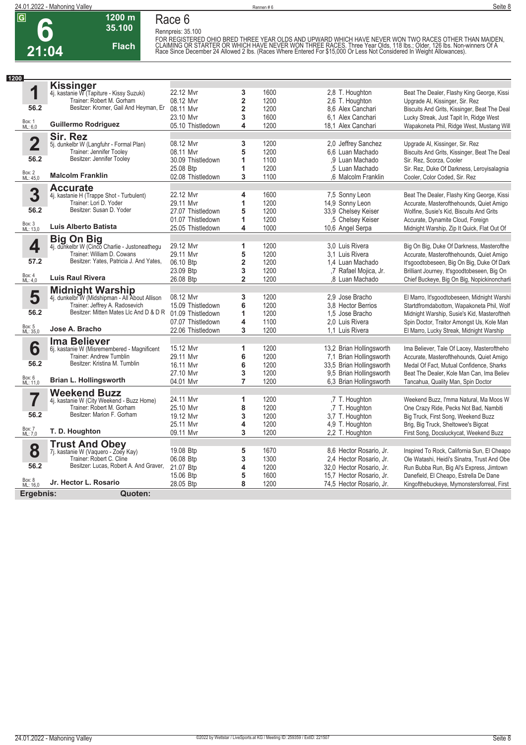

#### **1200 m 35.100 Race 6**

**Flach**



**Rennpreis: 35.100** FOR REGISTERED OHIO BRED THREE YEAR OLDS AND UPWARD WHICH HAVE NEVER WON TWO RACES OTHER THAN MAIDEN,<br>CLAIMING OR STARTER OR WHICH HAVE NEVER WON THREE RACES. Three Year Olds, 118 Ibs.; Older, 126 Ibs. Non-winners Of A<br>Rac

**1 1200** Box: 1 ML: 6,0 **56.2 Kissinger** 4j. kastanie W (Tapiture - Kissy Suzuki) Trainer: Robert M. Gorham Besitzer: Kromer, Gail And Heyman, Er **Guillermo Rodriguez** 22.12 Mvr **3** 1600 2,8 T. Houghton Beat The Dealer, Flashy King George, Kissi 08.12 Mvr **2** 1200 2,6 T. Houghton Upgrade Al, Kissinger, Sir. Rez 08.6 Alex Canchari Biscuits And Grits, Kissinger, Beat The Deal<br>1200 6.1 Alex Canchari Lucky Streak, Just Tapit In, Ridge West 23.10 Mvr **3** 1600 6,1 Alex Canchari Lucky Streak, Just Tapit In, Ridge West 05.10 Thistledown **4** 1200 18,1 Alex Canchari Wapakoneta Phil, Ridge West, Mustang Will **2** Box: 2 ML: 45,0 **56.2 Sir. Rez** 5j. dunkelbr W (Langfuhr - Formal Plan) Trainer: Jennifer Tooley Besitzer: Jennifer Tooley **Malcolm Franklin** 08.12 Mvr **3** 1200 2,0 Jeffrey Sanchez Upgrade Al, Kissinger, Sir. Rez<br>1200 6.6 Luan Machado Biscuits And Grits. Kissinger. B **Biscuits And Grits, Kissinger, Beat The Deal** 30.09 Thistledown **1** 1100 ,9 Luan Machado Sir. Rez, Scorza, Cooler 25.08 Btp **1** 1200 ,5 Luan Machado Sir. Rez, Duke Of Darkness, Leroyisalagnia<br>02.08 Thistledown **3** 1100 6 Malcolm Franklin Cooler. Color Coded. Sir. Rez Cooler, Color Coded, Sir. Rez **3** Box: 3 ML: 13,0 **56.2 Accurate** 4j. kastanie H (Trappe Shot - Turbulent) Trainer: Lori D. Yoder Besitzer: Susan D. Yoder **Luis Alberto Batista** 22.12 Mvr **4** 1600 7,5 Sonny Leon Beat The Dealer, Flashy King George, Kissi 29.11 Mvr **1200** 1200 14,9 Sonny Leon Accurate, Masterofthehounds, Quiet Amigo<br>127.07 Thistledown 5 1200 33,9 Chelsey Keiser Wolfine, Susie's Kid, Biscuits And Grits 27.07 Thistledown **5** 1200 33,9 Chelsey Keiser Wolfine, Susie's Kid, Biscuits And Grits 01.07 Thistledown **1** 1200 ,5 Chelsey Keiser Accurate, Dynamite Cloud, Foreign Midnight Warship, Zip It Quick, Flat Out Of **4** Box: 4 ML: 4,0 **57.2 Big On Big** 4j. dunkelbr W (Cinco Charlie - Justoneathegu Trainer: William D. Cowans Besitzer: Yates, Patricia J. And Yates, **Luis Raul Rivera** 29.12 Mvr **1** 1200 3,0 Luis Rivera Big On Big, Duke Of Darkness, Masterofthe<br>29.11 Mvr **5** 1200 3.1 Luis Rivera Accurate Masterofthehounds Quiet Amigo 29.1<sub>2</sub><br>Accurate, Masterofthehounds, Quiet Amigo 06.10 Btp **2** 1200 1,4 Luan Machado It'sgoodtobeseen, Big On Big, Duke Of Dark<br>23.09 Btp **3** 1200 7 Rafael Mojica, Jr. Brilliant Journey, It'sgoodtobeseen, Big On 23.09 Btp **3** 1200 ,7 Rafael Mojica, Jr. Brilliant Journey, It'sgoodtobeseen, Big On 26.08 Btp **2** 1200 ,8 Luan Machado Chief Buckeye, Big On Big, Nopickinoncharli **5** Box: 5 ML: 35,0 **56.2 Midnight Warship** 4j. dunkelbr W (Midshipman - All About Allison Trainer: Jeffrey A. Radosevich Besitzer: Mitten Mates Llc And D & D R **Jose A. Bracho** 08.12 Mvr **3** 1200 2,9 Jose Bracho El Marro, It'sgoodtobeseen, Midnight Warshi<br>15.09 Thistledown **6** 1200 3.8 Hector Berrios Startdfromdabottom, Wapakoneta Phil. Wolf 15.09 Thistledown **6** 1200 3,8 Hector Berrios Startdfromdabottom, Wapakoneta Phil, Wolf Midnight Warship, Susie's Kid, Masteroftheh 07.07 Thistledown **4** 1100 2,0 Luis Rivera Spin Doctor, Traitor Amongst Us, Kole Man 22.06 Thistledown **3** 1200 1,1 Luis Rivera El Marro, Lucky Streak, Midnight Warship **6** Box: 6 ML: 11,0 **56.2 Ima Believer** 6j. kastanie W (Misremembered - Magnificent Trainer: Andrew Tumblin Besitzer: Kristina M. Tumblin **Brian L. Hollingsworth** 15.12 Mvr **1** 1200 13,2 Brian Hollingsworth Ima Believer, Tale Of Lacey, Masteroftheho 29.11 Mvr **6** 1200 7,1 Brian Hollingsworth Accurate, Masterofthehounds, Quiet Amigo 16.11 Mvr **6** 1200 33,5 Brian Hollingsworth Medal Of Fact, Mutual Confidence, Sharks<br>16.11 Mvr **3** 1200 9,5 Brian Hollingsworth Beat The Dealer, Kole Man Can, Ima Belie 27.1200 9,5 Brian Hollingsworth Beat The Dealer, Kole Man Can, Ima Believ<br>
27.1200 6,3 Brian Hollingsworth Tancahua, Quality Man, Spin Doctor 04.01 Mvr **7** 1200 6,3 Brian Hollingsworth Tancahua, Quality Man, Spin Doctor **7** Box: 7 ML: 7,0 **56.2 Weekend Buzz** 4j. kastanie W (City Weekend - Buzz Home) Trainer: Robert M. Gorham Besitzer: Marion F. Gorham **T. D. Houghton** 24.11 Mvr **1** 1200 1 7 T. Houghton Weekend Buzz, I'mma Natural, Ma Moos W<br>12.10 Mvr **8** 1200 1 7 T. Houghton One Crazy Ride. Pecks Not Bad. Nambiti 25.1200 7 T. Houghton Che Crazy Ride, Pecks Not Bad, Nambiti<br>
25.1200 3,7 T. Houghton Big Truck, First Song, Weekend Buzz 19.12 Mvr **3** 1200 3,7 T. Houghton Big Truck, First Song, Weekend Buzz 25.11 Mvr **4** 1200 4,9 T. Houghton Brig, Big Truck, Sheltowee's Bigcat First Song, Docsluckycat, Weekend Buzz **8** Box: 8 ML: 16,0 **56.2 Trust And Obey** 7j. kastanie W (Vaquero - Zoey Kay) Trainer: Robert C. Cline Besitzer: Lucas, Robert A. And Graver, **Jr. Hector L. Rosario** 19.08 Btp **5** 1670 8,6 Hector Rosario, Jr. Inspired To Rock, California Sun, El Cheapo<br>19.08 Btp **3** 1300 2,4 Hector Rosario, Jr. Ole Watashi, Heidi's Sinatra, Trust And Obe 06.08 Btp **3** 1300 2.4 Hector Rosario, Jr. Ole Watashi, Heidi's Sinatra, Trust And Obe<br>21.07 Btp **4** 1200 32.0 Hector Rosario, Jr. Run Bubba Run, Big Al's Express, Jimtown Run Bubba Run, Big Al's Express, Jimtown 15.06 Btp **5** 1600 15,7 Hector Rosario, Jr. Danefield, El Cheapo, Estrella De Dane 28.05 Btp **8** 1200 74,5 Hector Rosario, Jr. Kingofthebuckeye, Mymonstersforreal, First

**Ergebnis: Quoten:**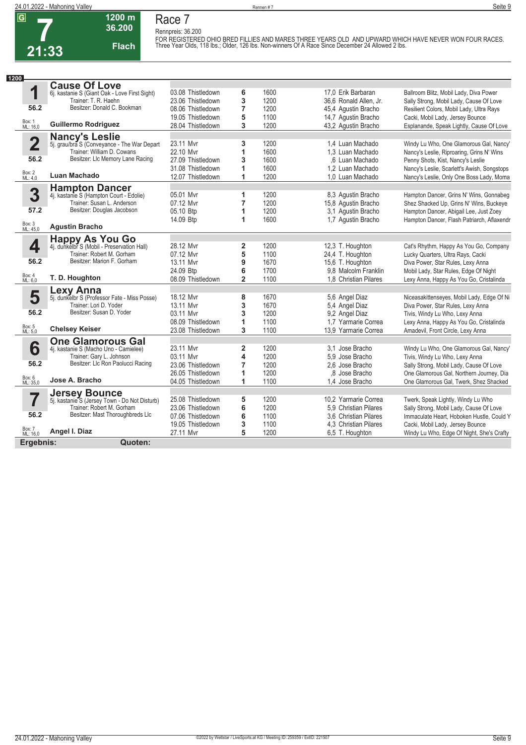### **1200 m Flach Race 7 Rennpreis: 36.200**

**36.200** 

FOR REGISTERED OHIO BRED FILLIES AND MARES THREE YEARS OLD AND UPWARD WHICH HAVE NEVER WON FOUR RACES. <br>Three Year Olds, 118 lbs.; Older, 126 lbs. Non-winners Of A Race Since December 24 Allowed 2 lbs.

| 1200               |                                               |                   |                         |      |                        |                                             |
|--------------------|-----------------------------------------------|-------------------|-------------------------|------|------------------------|---------------------------------------------|
|                    | <b>Cause Of Love</b>                          |                   |                         |      |                        |                                             |
| 1                  | 6j. kastanie S (Giant Oak - Love First Sight) | 03.08 Thistledown | 6                       | 1600 | 17.0 Erik Barbaran     | Ballroom Blitz, Mobil Lady, Diva Power      |
|                    | Trainer: T. R. Haehn                          | 23.06 Thistledown | 3                       | 1200 | 36,6 Ronald Allen, Jr. | Sally Strong, Mobil Lady, Cause Of Love     |
| 56.2               | Besitzer: Donald C. Bookman                   | 08.06 Thistledown | 7                       | 1200 | 45,4 Agustin Bracho    | Resilient Colors, Mobil Lady, Ultra Rays    |
|                    |                                               | 19.05 Thistledown | 5                       | 1100 | 14,7 Agustin Bracho    | Cacki, Mobil Lady, Jersey Bounce            |
| Box: 1<br>ML: 16,0 | <b>Guillermo Rodriguez</b>                    | 28.04 Thistledown | 3                       | 1200 | 43,2 Agustin Bracho    | Esplanande, Speak Lightly, Cause Of Love    |
|                    | <b>Nancy's Leslie</b>                         |                   |                         |      |                        |                                             |
| 2                  | 5j. grau/bra S (Conveyance - The War Depart   | 23.11 Mvr         | 3                       | 1200 | 1,4 Luan Machado       | Windy Lu Who, One Glamorous Gal, Nancy'     |
|                    | Trainer: William D. Cowans                    | 22.10 Mvr         | 1                       | 1600 | 1.3 Luan Machado       | Nancy's Leslie, Riproaring, Grins N' Wins   |
| 56.2               | Besitzer: LIc Memory Lane Racing              | 27.09 Thistledown | 3                       | 1600 | .6 Luan Machado        | Penny Shots, Kist, Nancy's Leslie           |
|                    |                                               | 31.08 Thistledown | 1                       | 1600 | 1.2 Luan Machado       | Nancy's Leslie, Scarlett's Awish, Songstops |
| Box: 2<br>ML: 4,0  | Luan Machado                                  | 12.07 Thistledown | 1                       | 1200 | 1.0 Luan Machado       | Nancy's Leslie, Only One Boss Lady, Moma    |
|                    | <b>Hampton Dancer</b>                         |                   |                         |      |                        |                                             |
| 3                  | 4j. kastanie S (Hampton Court - Edolie)       | 05.01 Mvr         | 1                       | 1200 | 8.3 Agustin Bracho     | Hampton Dancer, Grins N' Wins, Gonnabeg     |
|                    | Trainer: Susan L. Anderson                    | 07.12 Myr         | 7                       | 1200 | 15,8 Agustin Bracho    | Shez Shacked Up, Grins N' Wins, Buckeye     |
| 57.2               | Besitzer: Douglas Jacobson                    | 05.10 Btp         | 1                       | 1200 | 3,1 Agustin Bracho     | Hampton Dancer, Abigail Lee, Just Zoey      |
|                    |                                               | 14.09 Btp         | 1                       | 1600 | 1.7 Agustin Bracho     | Hampton Dancer, Flash Patriarch, Aflaxendr  |
| Box: 3<br>ML: 45,0 | <b>Agustin Bracho</b>                         |                   |                         |      |                        |                                             |
|                    | <b>Happy As You Go</b>                        |                   |                         |      |                        |                                             |
| 4                  | 4j. dunkelbr S (Mobil - Preservation Hall)    | 28.12 Mvr         | $\overline{\mathbf{2}}$ | 1200 | 12,3 T. Houghton       | Cat's Rhythm, Happy As You Go, Company      |
|                    | Trainer: Robert M. Gorham                     | 07.12 Mvr         | 5                       | 1100 | 24,4 T. Houghton       | Lucky Quarters, Ultra Rays, Cacki           |
| 56.2               | Besitzer: Marion F. Gorham                    | 13.11 Myr         | 9                       | 1670 | 15,6 T. Houghton       | Diva Power, Star Rules, Lexy Anna           |
| Box: 4             |                                               | 24.09 Btp         | 6                       | 1700 | 9.8 Malcolm Franklin   | Mobil Lady, Star Rules, Edge Of Night       |
| ML: 6,0            | T. D. Houghton                                | 08.09 Thistledown | $\overline{2}$          | 1100 | 1.8 Christian Pilares  | Lexy Anna, Happy As You Go, Cristalinda     |
|                    | <b>Lexy Anna</b>                              |                   |                         |      |                        |                                             |
| 5                  | 5j. dunkelbr S (Professor Fate - Miss Posse)  | 18.12 Mvr         | 8                       | 1670 | 5,6 Angel Diaz         | Niceasakittenseyes, Mobil Lady, Edge Of Ni  |
|                    | Trainer: Lori D. Yoder                        | 13.11 Mvr         | 3                       | 1670 | 5,4 Angel Diaz         | Diva Power, Star Rules, Lexy Anna           |
| 56.2               | Besitzer: Susan D. Yoder                      | 03.11 Myr         | 3                       | 1200 | 9,2 Angel Diaz         | Tivis, Windy Lu Who, Lexy Anna              |
|                    |                                               | 08.09 Thistledown | 1                       | 1100 | 1.7 Yarmarie Correa    | Lexy Anna, Happy As You Go, Cristalinda     |
| Box: 5<br>ML: 5,0  | <b>Chelsey Keiser</b>                         | 23.08 Thistledown | 3                       | 1100 | 13,9 Yarmarie Correa   | Amadevil, Front Circle, Lexy Anna           |
|                    | <b>One Glamorous Gal</b>                      |                   |                         |      |                        |                                             |
| 6                  | 4j. kastanie S (Macho Uno - Camielee)         | 23.11 Mvr         | 2                       | 1200 | 3.1 Jose Bracho        | Windy Lu Who, One Glamorous Gal, Nancy'     |
|                    | Trainer: Gary L. Johnson                      | 03.11 Mvr         | 4                       | 1200 | 5.9 Jose Bracho        | Tivis, Windy Lu Who, Lexy Anna              |
| 56.2               | Besitzer: Llc Ron Paolucci Racing             | 23.06 Thistledown | 7                       | 1200 | 2.6 Jose Bracho        | Sally Strong, Mobil Lady, Cause Of Love     |
|                    |                                               | 26.05 Thistledown | 1                       | 1200 | .8 Jose Bracho         | One Glamorous Gal, Northern Journey, Dia    |
| Box: 6<br>ML: 35,0 | Jose A. Bracho                                | 04.05 Thistledown | 1                       | 1100 | 1.4 Jose Bracho        | One Glamorous Gal. Twerk. Shez Shacked      |
|                    | <b>Jersey Bounce</b>                          |                   |                         |      |                        |                                             |
| 7                  | 5j. kastanie S (Jersey Town - Do Not Disturb) | 25.08 Thistledown | 5                       | 1200 | 10,2 Yarmarie Correa   | Twerk, Speak Lightly, Windy Lu Who          |
|                    | Trainer: Robert M. Gorham                     | 23.06 Thistledown | 6                       | 1200 | 5.9 Christian Pilares  | Sally Strong, Mobil Lady, Cause Of Love     |
| 56.2               | Besitzer: Mast Thoroughbreds Llc              | 07.06 Thistledown | 6                       | 1100 | 3.6 Christian Pilares  | Immaculate Heart, Hoboken Hustle, Could Y   |
|                    |                                               | 19.05 Thistledown | 3                       | 1100 | 4.3 Christian Pilares  | Cacki, Mobil Lady, Jersey Bounce            |
| Box: 7<br>ML: 16,0 | Angel I. Diaz                                 | 27.11 Mvr         | 5                       | 1200 | 6,5 T. Houghton        | Windy Lu Who, Edge Of Night, She's Crafty   |
| Ergebnis:          | Quoten:                                       |                   |                         |      |                        |                                             |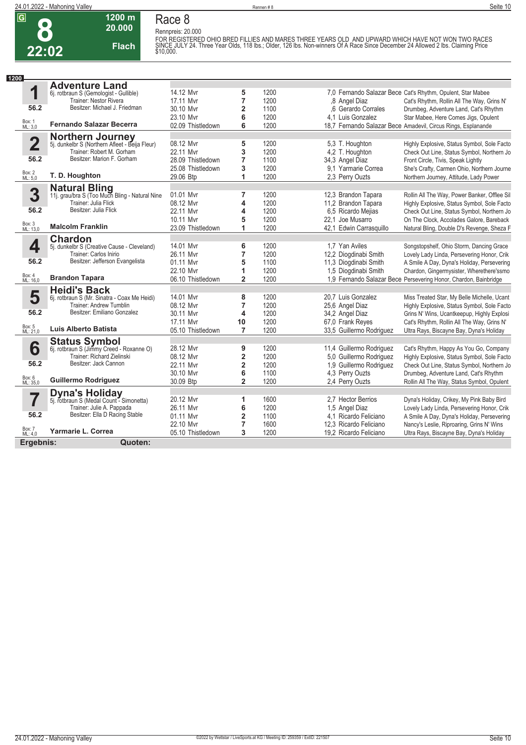**8**

**22:02**

**1200 m 20.000 Flach** **Race 8**

Rennpreis: 20.000<br>FOR REGISTERED OHIO BRED FILLIES AND MARES THREE YEARS OLD AND UPWARD WHICH HAVE NOT WON TWO RACES<br>SINCE JULY 24. Three Year Olds, 118 lbs.; Older, 126 lbs. Non-winners Of A Race Since December 24 Allowe

| 1200               |                                                                          |                   |                         |      |                          |                                                                  |
|--------------------|--------------------------------------------------------------------------|-------------------|-------------------------|------|--------------------------|------------------------------------------------------------------|
|                    | <b>Adventure Land</b>                                                    |                   |                         |      |                          |                                                                  |
| 1                  | 6j. rotbraun S (Gemologist - Gullible)                                   | 14.12 Mvr         | 5                       | 1200 |                          | 7.0 Fernando Salazar Bece Cat's Rhythm, Opulent, Star Mabee      |
|                    | Trainer: Nestor Rivera                                                   | 17.11 Mvr         | $\overline{7}$          | 1200 | ,8 Angel Diaz            | Cat's Rhythm, Rollin All The Way, Grins N'                       |
| 56.2               | Besitzer: Michael J. Friedman                                            | 30.10 Myr         | 2                       | 1100 | .6 Gerardo Corrales      | Drumbeg, Adventure Land, Cat's Rhythm                            |
|                    |                                                                          | 23.10 Mvr         | 6                       | 1200 | 4.1 Luis Gonzalez        | Star Mabee, Here Comes Jigs, Opulent                             |
| Box: 1<br>ML: 3,0  | Fernando Salazar Becerra                                                 | 02.09 Thistledown | 6                       | 1200 |                          | 18,7 Fernando Salazar Bece Amadevil, Circus Rings, Esplanande    |
|                    | <b>Northern Journey</b><br>5. dunkelbr S (Northern Afleet - Beija Fleur) |                   |                         |      |                          |                                                                  |
| $\mathbf 2$        |                                                                          | 08.12 Mvr         | 5                       | 1200 | 5,3 T. Houghton          | Highly Explosive, Status Symbol, Sole Facto                      |
|                    | Trainer: Robert M. Gorham                                                | 22.11 Mvr         | 3                       | 1200 | 4,2 T. Houghton          | Check Out Line, Status Symbol, Northern Jo                       |
| 56.2               | Besitzer: Marion F. Gorham                                               | 28.09 Thistledown | 7                       | 1100 | 34,3 Angel Diaz          | Front Circle, Tivis, Speak Lightly                               |
|                    |                                                                          | 25.08 Thistledown | 3                       | 1200 | 9.1 Yarmarie Correa      | She's Crafty, Carmen Ohio, Northern Journe                       |
| Box: 2<br>ML: 5,0  | T. D. Houghton                                                           | 29.06 Btp         | 1                       | 1200 | 2.3 Perry Ouzts          | Northern Journey, Attitude, Lady Power                           |
|                    | <b>Natural Bling</b><br>11j. grau/bra S (Too Much Bling - Natural Nine   |                   |                         |      |                          |                                                                  |
| 3                  |                                                                          | 01.01 Mvr         | $\overline{7}$          | 1200 | 12,3 Brandon Tapara      | Rollin All The Way, Power Banker, Offlee Sil                     |
|                    | Trainer: Julia Flick                                                     | 08.12 Mvr         | 4                       | 1200 | 11,2 Brandon Tapara      | Highly Explosive, Status Symbol, Sole Facto                      |
| 56.2               | Besitzer: Julia Flick                                                    | 22.11 Mvr         | 4                       | 1200 | 6,5 Ricardo Mejias       | Check Out Line, Status Symbol, Northern Jo                       |
|                    |                                                                          | 10.11 Mvr         | 5                       | 1200 | 22,1 Joe Musarro         | On The Clock, Accolades Galore, Bareback                         |
| Box: 3<br>ML: 13,0 | <b>Malcolm Franklin</b>                                                  | 23.09 Thistledown | 1                       | 1200 | 42.1 Edwin Carrasquillo  | Natural Bling, Double D's Revenge, Sheza F                       |
|                    | <b>Chardon</b>                                                           |                   |                         |      |                          |                                                                  |
| 4                  | 5j. dunkelbr S (Creative Cause - Cleveland)                              | 14.01 Mvr         | 6                       | 1200 | 1.7 Yan Aviles           | Songstopshelf, Ohio Storm, Dancing Grace                         |
|                    | Trainer: Carlos Inirio                                                   | 26.11 Mvr         | 7                       | 1200 | 12,2 Diogdinabi Smith    | Lovely Lady Linda, Persevering Honor, Crik                       |
| 56.2               | Besitzer: Jefferson Evangelista                                          | 01.11 Mvr         | 5                       | 1100 | 11,3 Diogdinabi Smith    | A Smile A Day, Dyna's Holiday, Persevering                       |
|                    |                                                                          | 22.10 Mvr         | 1                       | 1200 | 1,5 Diogdinabi Smith     | Chardon, Gingermysister, Wherethere'ssmo                         |
| Box: 4<br>ML: 16,0 | <b>Brandon Tapara</b>                                                    | 06.10 Thistledown | $\overline{2}$          | 1200 |                          | 1,9 Fernando Salazar Bece Persevering Honor, Chardon, Bainbridge |
|                    | <b>Heidi's Back</b>                                                      |                   |                         |      |                          |                                                                  |
| 5                  | 6j. rotbraun S (Mr. Sinatra - Coax Me Heidi)                             | 14.01 Mvr         | 8                       | 1200 | 20.7 Luis Gonzalez       | Miss Treated Star, My Belle Michelle, Ucant                      |
|                    | Trainer: Andrew Tumblin                                                  | 08.12 Mvr         | $\overline{7}$          | 1200 | 25,6 Angel Diaz          | Highly Explosive, Status Symbol, Sole Facto                      |
| 56.2               | Besitzer: Emiliano Gonzalez                                              | 30.11 Myr         | 4                       | 1200 | 34,2 Angel Diaz          | Grins N' Wins, Ucantkeepup, Highly Explosi                       |
|                    |                                                                          | 17.11 Myr         | 10                      | 1200 | 67,0 Frank Reves         | Cat's Rhythm, Rollin All The Way, Grins N'                       |
| Box: 5<br>ML: 21,0 | Luis Alberto Batista                                                     | 05.10 Thistledown | $\overline{7}$          | 1200 | 33,5 Guillermo Rodriguez | Ultra Rays, Biscayne Bay, Dyna's Holiday                         |
|                    | <b>Status Symbol</b><br>6j. rotbraun S (Jimmy Creed - Roxanne O)         |                   |                         |      |                          |                                                                  |
| 6                  |                                                                          | 28.12 Mvr         | 9                       | 1200 | 11,4 Guillermo Rodriguez | Cat's Rhythm, Happy As You Go, Company                           |
|                    | Trainer: Richard Zielinski                                               | 08.12 Mvr         | $\overline{\mathbf{2}}$ | 1200 | 5,0 Guillermo Rodriguez  | Highly Explosive, Status Symbol, Sole Facto                      |
| 56.2               | Besitzer: Jack Cannon                                                    | 22.11 Mvr         | $\overline{\mathbf{2}}$ | 1200 | 1,9 Guillermo Rodriguez  | Check Out Line, Status Symbol, Northern Jo                       |
|                    |                                                                          | 30.10 Mvr         | 6                       | 1100 | 4,3 Perry Ouzts          | Drumbeg, Adventure Land, Cat's Rhythm                            |
| Box: 6<br>ML: 35,0 | <b>Guillermo Rodriguez</b>                                               | 30.09 Btp         | $\overline{2}$          | 1200 | 2.4 Perry Ouzts          | Rollin All The Way, Status Symbol, Opulent                       |
|                    | <b>Dyna's Holiday</b><br>5j. rotbraun S (Medal Count - Simonetta)        |                   |                         |      |                          |                                                                  |
|                    |                                                                          | 20.12 Mvr         | 1                       | 1600 | 2,7 Hector Berrios       | Dyna's Holiday, Crikey, My Pink Baby Bird                        |
|                    | Trainer: Julie A. Pappada                                                | 26.11 Mvr         | 6                       | 1200 | 1,5 Angel Diaz           | Lovely Lady Linda, Persevering Honor, Crik                       |
| 56.2               | Besitzer: Ella D Racing Stable                                           | 01.11 Mvr         | $\overline{2}$          | 1100 | 4,1 Ricardo Feliciano    | A Smile A Day, Dyna's Holiday, Persevering                       |
|                    |                                                                          | 22.10 Mvr         | $\overline{7}$          | 1600 | 12.3 Ricardo Feliciano   | Nancy's Leslie, Riproaring, Grins N' Wins                        |
| Box: 7<br>ML: 4,0  | Yarmarie L. Correa                                                       | 05.10 Thistledown | 3                       | 1200 | 19,2 Ricardo Feliciano   | Ultra Rays, Biscayne Bay, Dyna's Holiday                         |
| Ergebnis:          | Quoten:                                                                  |                   |                         |      |                          |                                                                  |